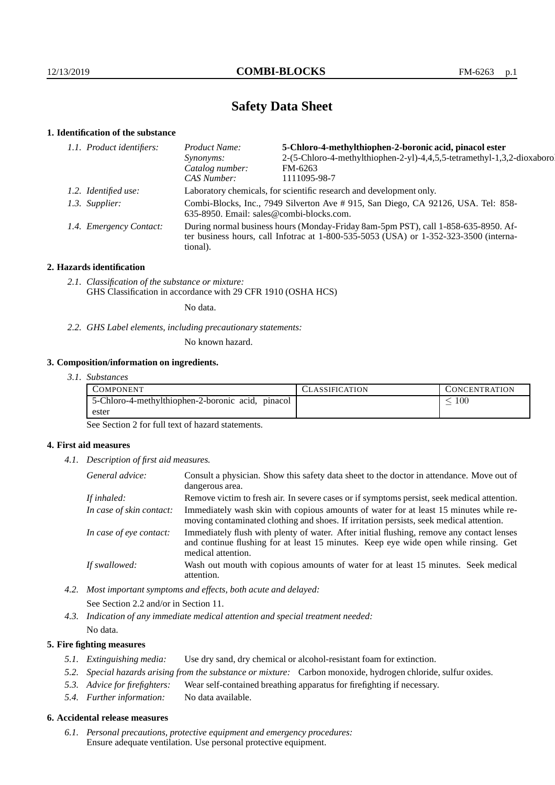# **Safety Data Sheet**

### **1. Identification of the substance**

| 5-Chloro-4-methylthiophen-2-boronic acid, pinacol ester<br>Product Name:                                                                                                                |                                                                         |  |
|-----------------------------------------------------------------------------------------------------------------------------------------------------------------------------------------|-------------------------------------------------------------------------|--|
| <i>Synonyms:</i>                                                                                                                                                                        | 2-(5-Chloro-4-methylthiophen-2-yl)-4,4,5,5-tetramethyl-1,3,2-dioxaborol |  |
| Catalog number:                                                                                                                                                                         | FM-6263                                                                 |  |
| CAS Number:                                                                                                                                                                             | 1111095-98-7                                                            |  |
| Laboratory chemicals, for scientific research and development only.                                                                                                                     |                                                                         |  |
| Combi-Blocks, Inc., 7949 Silverton Ave #915, San Diego, CA 92126, USA. Tel: 858-<br>635-8950. Email: sales@combi-blocks.com.                                                            |                                                                         |  |
| During normal business hours (Monday-Friday 8am-5pm PST), call 1-858-635-8950. Af-<br>ter business hours, call Infotrac at 1-800-535-5053 (USA) or 1-352-323-3500 (interna-<br>tional). |                                                                         |  |
| 1.1. Product identifiers:<br>1.2. Identified use:<br>1.3. Supplier:<br>1.4. Emergency Contact:                                                                                          |                                                                         |  |

#### **2. Hazards identification**

*2.1. Classification of the substance or mixture:* GHS Classification in accordance with 29 CFR 1910 (OSHA HCS)

No data.

*2.2. GHS Label elements, including precautionary statements:*

No known hazard.

#### **3. Composition/information on ingredients.**

*3.1. Substances*

| COMPONENT                                         | CLASSIFICATION | CONCENTRATION   |
|---------------------------------------------------|----------------|-----------------|
| 5-Chloro-4-methylthiophen-2-boronic acid, pinacol |                | $\overline{00}$ |
| ester                                             |                |                 |

See Section 2 for full text of hazard statements.

#### **4. First aid measures**

*4.1. Description of first aid measures.*

| General advice:          | Consult a physician. Show this safety data sheet to the doctor in attendance. Move out of<br>dangerous area.                                                                                            |
|--------------------------|---------------------------------------------------------------------------------------------------------------------------------------------------------------------------------------------------------|
| If inhaled:              | Remove victim to fresh air. In severe cases or if symptoms persist, seek medical attention.                                                                                                             |
| In case of skin contact: | Immediately wash skin with copious amounts of water for at least 15 minutes while re-<br>moving contaminated clothing and shoes. If irritation persists, seek medical attention.                        |
| In case of eye contact:  | Immediately flush with plenty of water. After initial flushing, remove any contact lenses<br>and continue flushing for at least 15 minutes. Keep eye wide open while rinsing. Get<br>medical attention. |
| If swallowed:            | Wash out mouth with copious amounts of water for at least 15 minutes. Seek medical<br>attention.                                                                                                        |

*4.2. Most important symptoms and effects, both acute and delayed:*

See Section 2.2 and/or in Section 11.

*4.3. Indication of any immediate medical attention and special treatment needed:*

No data.

#### **5. Fire fighting measures**

- *5.1. Extinguishing media:* Use dry sand, dry chemical or alcohol-resistant foam for extinction.
- *5.2. Special hazards arising from the substance or mixture:* Carbon monoxide, hydrogen chloride, sulfur oxides.
- *5.3. Advice for firefighters:* Wear self-contained breathing apparatus for firefighting if necessary.
- *5.4. Further information:* No data available.

#### **6. Accidental release measures**

*6.1. Personal precautions, protective equipment and emergency procedures:* Ensure adequate ventilation. Use personal protective equipment.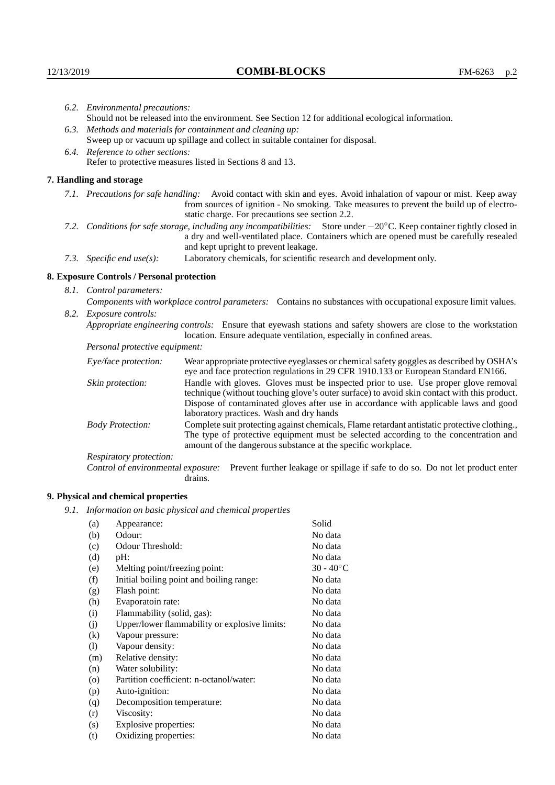|  | 6.2. Environmental precautions:                                                                                                                                                                                                                                     |                                                                                                                                                                                                                                                                            |  |
|--|---------------------------------------------------------------------------------------------------------------------------------------------------------------------------------------------------------------------------------------------------------------------|----------------------------------------------------------------------------------------------------------------------------------------------------------------------------------------------------------------------------------------------------------------------------|--|
|  | Should not be released into the environment. See Section 12 for additional ecological information.                                                                                                                                                                  |                                                                                                                                                                                                                                                                            |  |
|  | 6.3. Methods and materials for containment and cleaning up:                                                                                                                                                                                                         |                                                                                                                                                                                                                                                                            |  |
|  | Sweep up or vacuum up spillage and collect in suitable container for disposal.                                                                                                                                                                                      |                                                                                                                                                                                                                                                                            |  |
|  | 6.4. Reference to other sections:                                                                                                                                                                                                                                   |                                                                                                                                                                                                                                                                            |  |
|  | Refer to protective measures listed in Sections 8 and 13.                                                                                                                                                                                                           |                                                                                                                                                                                                                                                                            |  |
|  | 7. Handling and storage                                                                                                                                                                                                                                             |                                                                                                                                                                                                                                                                            |  |
|  |                                                                                                                                                                                                                                                                     | 7.1. Precautions for safe handling: Avoid contact with skin and eyes. Avoid inhalation of vapour or mist. Keep away<br>from sources of ignition - No smoking. Take measures to prevent the build up of electro-<br>static charge. For precautions see section 2.2.         |  |
|  | 7.2. Conditions for safe storage, including any incompatibilities: Store under $-20^{\circ}$ C. Keep container tightly closed in<br>a dry and well-ventilated place. Containers which are opened must be carefully resealed<br>and kept upright to prevent leakage. |                                                                                                                                                                                                                                                                            |  |
|  | 7.3. Specific end use(s):                                                                                                                                                                                                                                           | Laboratory chemicals, for scientific research and development only.                                                                                                                                                                                                        |  |
|  | 8. Exposure Controls / Personal protection                                                                                                                                                                                                                          |                                                                                                                                                                                                                                                                            |  |
|  | 8.1. Control parameters:                                                                                                                                                                                                                                            |                                                                                                                                                                                                                                                                            |  |
|  | Components with workplace control parameters: Contains no substances with occupational exposure limit values.                                                                                                                                                       |                                                                                                                                                                                                                                                                            |  |
|  | 8.2. Exposure controls:<br>Appropriate engineering controls: Ensure that eyewash stations and safety showers are close to the workstation<br>location. Ensure adequate ventilation, especially in confined areas.                                                   |                                                                                                                                                                                                                                                                            |  |
|  |                                                                                                                                                                                                                                                                     |                                                                                                                                                                                                                                                                            |  |
|  | Personal protective equipment:                                                                                                                                                                                                                                      |                                                                                                                                                                                                                                                                            |  |
|  | Eye/face protection:                                                                                                                                                                                                                                                | Wear appropriate protective eyeglasses or chemical safety goggles as described by OSHA's<br>eye and face protection regulations in 29 CFR 1910.133 or European Standard EN166.                                                                                             |  |
|  | Skin protection:                                                                                                                                                                                                                                                    | Handle with gloves. Gloves must be inspected prior to use. Use proper glove removal<br>technique (without touching glove's outer surface) to avoid skin contact with this product.<br>Dispose of conteminated gloves efter use in accordance with applicable laws and good |  |

### **8. Exposure Controls / Personal protection**

| Eye/face protection:               | Wear appropriate protective eyeglasses or chemical safety goggles as described by OSHA's<br>eye and face protection regulations in 29 CFR 1910.133 or European Standard EN166.                                                                                                                                         |  |  |
|------------------------------------|------------------------------------------------------------------------------------------------------------------------------------------------------------------------------------------------------------------------------------------------------------------------------------------------------------------------|--|--|
| Skin protection:                   | Handle with gloves. Gloves must be inspected prior to use. Use proper glove removal<br>technique (without touching glove's outer surface) to avoid skin contact with this product.<br>Dispose of contaminated gloves after use in accordance with applicable laws and good<br>laboratory practices. Wash and dry hands |  |  |
| <b>Body Protection:</b>            | Complete suit protecting against chemicals, Flame retardant antistatic protective clothing.,<br>The type of protective equipment must be selected according to the concentration and<br>amount of the dangerous substance at the specific workplace.                                                                   |  |  |
| Respiratory protection:            |                                                                                                                                                                                                                                                                                                                        |  |  |
| Control of environmental exposure: | Prevent further leakage or spillage if safe to do so. Do not let product enter<br>drains.                                                                                                                                                                                                                              |  |  |

# **9. Physical and chemical properties**

*9.1. Information on basic physical and chemical properties*

| (a)       | Appearance:                                   | Solid              |
|-----------|-----------------------------------------------|--------------------|
| (b)       | Odour:                                        | No data            |
| (c)       | Odour Threshold:                              | No data            |
| (d)       | pH:                                           | No data            |
| (e)       | Melting point/freezing point:                 | $30 - 40^{\circ}C$ |
| (f)       | Initial boiling point and boiling range:      | No data            |
| (g)       | Flash point:                                  | No data            |
| (h)       | Evaporatoin rate:                             | No data            |
| (i)       | Flammability (solid, gas):                    | No data            |
| (j)       | Upper/lower flammability or explosive limits: | No data            |
| (k)       | Vapour pressure:                              | No data            |
| (1)       | Vapour density:                               | No data            |
| (m)       | Relative density:                             | No data            |
| (n)       | Water solubility:                             | No data            |
| $\rm (o)$ | Partition coefficient: n-octanol/water:       | No data            |
| (p)       | Auto-ignition:                                | No data            |
| (q)       | Decomposition temperature:                    | No data            |
| (r)       | Viscosity:                                    | No data            |
| (s)       | Explosive properties:                         | No data            |
| (t)       | Oxidizing properties:                         | No data            |